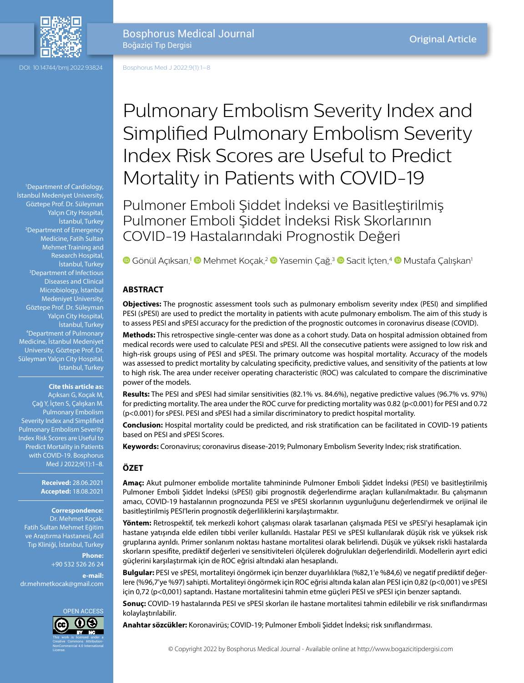

DOI: 10.14744/bmj.2022.93824

Bosphorus Medical Journal Boğaziçi Tıp Dergisi

Bosphorus Med J 2022;9(1):1–8

1 Department of Cardiology, İstanbul Medeniyet University, Göztepe Prof. Dr. Süleyman Yalçın City Hospital, İstanbul, Turkey 2 Department of Emergency Medicine, Fatih Sultan Mehmet Training and Research Hospital, İstanbul, Turkey 3 Department of Infectious Diseases and Clinical Microbiology, İstanbul Medeniyet University, Göztepe Prof. Dr. Süleyman Yalçın City Hospital, İstanbul, Turkey 4 Department of Pulmonary Medicine, İstanbul Medeniyet University, Göztepe Prof. Dr. Süleyman Yalçın City Hospital, İstanbul, Turkey

**Cite this article as:** Açıksarı G, Koçak M, Çağ Y, İçten S, Çalışkan M. Pulmonary Embolism Severity Index and Simplified Pulmonary Embolism Severity Index Risk Scores are Useful to Predict Mortality in Patients with COVID-19. Bosphorus Med J 2022;9(1):1–8.

> **Received:** 28.06.2021 **Accepted:** 18.08.2021

# **Correspondence:**

Dr. Mehmet Koçak. Fatih Sultan Mehmet Eğitim ve Araştırma Hastanesi, Acil Tıp Kliniği, İstanbul, Turkey

> **Phone:** +90 532 526 26 24

**e-mail:** dr.mehmetkocak@gmail.com



Pulmonary Embolism Severity Index and Simplified Pulmonary Embolism Severity Index Risk Scores are Useful to Predict Mortality in Patients with COVID-19

Pulmoner Emboli Şiddet İndeksi ve Basitleştirilmiş Pulmoner Emboli Şiddet İndeksi Risk Skorlarının COVID-19 Hastalarındaki Prognostik Değeri

**G**Gönül Açıksarı,<sup>1</sup> Mehmet Koçak,<sup>2</sup> © [Y](https://orcid.org/0000-0002-9983-0308)asemin Çağ,<sup>3</sup> © [S](https://orcid.org/0000-0002-1043-5185)acit İçten,<sup>4</sup> © Mustafa Çalışkan<sup>ı</sup>

#### **ABSTRACT**

**Objectives:** The prognostic assessment tools such as pulmonary embolism severity ındex (PESI) and simplified PESI (sPESI) are used to predict the mortality in patients with acute pulmonary embolism. The aim of this study is to assess PESI and sPESI accuracy for the prediction of the prognostic outcomes in coronavirus disease (COVID).

**Methods:** This retrospective single-center was done as a cohort study. Data on hospital admission obtained from medical records were used to calculate PESI and sPESI. All the consecutive patients were assigned to low risk and high-risk groups using of PESI and sPESI. The primary outcome was hospital mortality. Accuracy of the models was assessed to predict mortality by calculating specificity, predictive values, and sensitivity of the patients at low to high risk. The area under receiver operating characteristic (ROC) was calculated to compare the discriminative power of the models.

**Results:** The PESI and sPESI had similar sensitivities (82.1% vs. 84.6%), negative predictive values (96.7% vs. 97%) for predicting mortality. The area under the ROC curve for predicting mortality was 0.82 (p<0.001) for PESI and 0.72 (p<0.001) for sPESI. PESI and sPESI had a similar discriminatory to predict hospital mortality.

**Conclusion:** Hospital mortality could be predicted, and risk stratification can be facilitated in COVID-19 patients based on PESI and sPESI Scores.

**Keywords:** Coronavirus; coronavirus disease-2019; Pulmonary Embolism Severity Index; risk stratification.

## **ÖZET**

**Amaç:** Akut pulmoner embolide mortalite tahmininde Pulmoner Emboli Şiddet İndeksi (PESI) ve basitleştirilmiş Pulmoner Emboli Şiddet İndeksi (sPESI) gibi prognostik değerlendirme araçları kullanılmaktadır. Bu çalışmanın amacı, COVID-19 hastalarının prognozunda PESI ve sPESI skorlarının uygunluğunu değerlendirmek ve orijinal ile basitleştirilmiş PESI'lerin prognostik değerliliklerini karşılaştırmaktır.

**Yöntem:** Retrospektif, tek merkezli kohort çalışması olarak tasarlanan çalışmada PESI ve sPESI'yi hesaplamak için hastane yatışında elde edilen tıbbi veriler kullanıldı. Hastalar PESI ve sPESI kullanılarak düşük risk ve yüksek risk gruplarına ayrıldı. Primer sonlanım noktası hastane mortalitesi olarak belirlendi. Düşük ve yüksek riskli hastalarda skorların spesifite, prediktif değerleri ve sensitiviteleri ölçülerek doğrulukları değerlendirildi. Modellerin ayırt edici güçlerini karşılaştırmak için de ROC eğrisi altındaki alan hesaplandı.

**Bulgular:** PESI ve sPESI, mortaliteyi öngörmek için benzer duyarlılıklara (%82,1'e %84,6) ve negatif prediktif değerlere (%96,7'ye %97) sahipti. Mortaliteyi öngörmek için ROC eğrisi altında kalan alan PESI için 0,82 (p<0,001) ve sPESI için 0,72 (p<0,001) saptandı. Hastane mortalitesini tahmin etme güçleri PESI ve sPESI için benzer saptandı.

**Sonuç:** COVID-19 hastalarında PESI ve sPESI skorları ile hastane mortalitesi tahmin edilebilir ve risk sınıflandırması kolaylaştırılabilir.

**Anahtar sözcükler:** Koronavirüs; COVID-19; Pulmoner Emboli Şiddet İndeksi; risk sınıflandırması.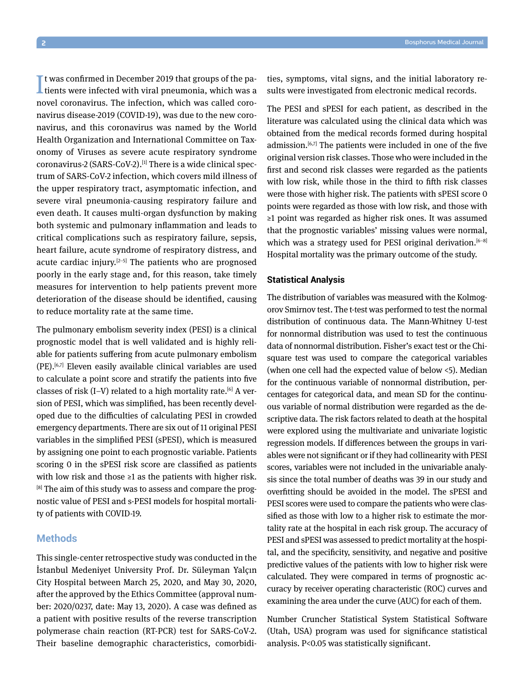It was confirmed in December 2019 that groups of the pa-<br>tients were infected with viral pneumonia, which was a **L** tients were infected with viral pneumonia, which was a novel coronavirus. The infection, which was called coronavirus disease-2019 (COVID-19), was due to the new coronavirus, and this coronavirus was named by the World Health Organization and International Committee on Taxonomy of Viruses as severe acute respiratory syndrome coronavirus-2 (SARS-CoV-2).<sup>[1]</sup> There is a wide clinical spectrum of SARS-CoV-2 infection, which covers mild illness of the upper respiratory tract, asymptomatic infection, and severe viral pneumonia-causing respiratory failure and even death. It causes multi-organ dysfunction by making both systemic and pulmonary inflammation and leads to critical complications such as respiratory failure, sepsis, heart failure, acute syndrome of respiratory distress, and acute cardiac injury. $[2-5]$  The patients who are prognosed poorly in the early stage and, for this reason, take timely measures for intervention to help patients prevent more deterioration of the disease should be identified, causing to reduce mortality rate at the same time.

The pulmonary embolism severity index (PESI) is a clinical prognostic model that is well validated and is highly reliable for patients suffering from acute pulmonary embolism (PE).[6,7] Eleven easily available clinical variables are used to calculate a point score and stratify the patients into five classes of risk  $(I-V)$  related to a high mortality rate.<sup>[6]</sup> A version of PESI, which was simplified, has been recently developed due to the difficulties of calculating PESI in crowded emergency departments. There are six out of 11 original PESI variables in the simplified PESI (sPESI), which is measured by assigning one point to each prognostic variable. Patients scoring 0 in the sPESI risk score are classified as patients with low risk and those  $\geq 1$  as the patients with higher risk. [8] The aim of this study was to assess and compare the prognostic value of PESI and s-PESI models for hospital mortality of patients with COVID-19.

## **Methods**

This single-center retrospective study was conducted in the İstanbul Medeniyet University Prof. Dr. Süleyman Yalçın City Hospital between March 25, 2020, and May 30, 2020, after the approved by the Ethics Committee (approval number: 2020/0237, date: May 13, 2020). A case was defined as a patient with positive results of the reverse transcription polymerase chain reaction (RT-PCR) test for SARS-CoV-2. Their baseline demographic characteristics, comorbidities, symptoms, vital signs, and the initial laboratory results were investigated from electronic medical records.

The PESI and sPESI for each patient, as described in the literature was calculated using the clinical data which was obtained from the medical records formed during hospital admission.<sup>[6,7]</sup> The patients were included in one of the five original version risk classes. Those who were included in the first and second risk classes were regarded as the patients with low risk, while those in the third to fifth risk classes were those with higher risk. The patients with sPESI score 0 points were regarded as those with low risk, and those with ≥1 point was regarded as higher risk ones. It was assumed that the prognostic variables' missing values were normal, which was a strategy used for PESI original derivation.<sup>[6-8]</sup> Hospital mortality was the primary outcome of the study.

#### **Statistical Analysis**

The distribution of variables was measured with the Kolmogorov Smirnov test. The t-test was performed to test the normal distribution of continuous data. The Mann-Whitney U-test for nonnormal distribution was used to test the continuous data of nonnormal distribution. Fisher's exact test or the Chisquare test was used to compare the categorical variables (when one cell had the expected value of below <5). Median for the continuous variable of nonnormal distribution, percentages for categorical data, and mean SD for the continuous variable of normal distribution were regarded as the descriptive data. The risk factors related to death at the hospital were explored using the multivariate and univariate logistic regression models. If differences between the groups in variables were not significant or if they had collinearity with PESI scores, variables were not included in the univariable analysis since the total number of deaths was 39 in our study and overfitting should be avoided in the model. The sPESI and PESI scores were used to compare the patients who were classified as those with low to a higher risk to estimate the mortality rate at the hospital in each risk group. The accuracy of PESI and sPESI was assessed to predict mortality at the hospital, and the specificity, sensitivity, and negative and positive predictive values of the patients with low to higher risk were calculated. They were compared in terms of prognostic accuracy by receiver operating characteristic (ROC) curves and examining the area under the curve (AUC) for each of them.

Number Cruncher Statistical System Statistical Software (Utah, USA) program was used for significance statistical analysis. P<0.05 was statistically significant.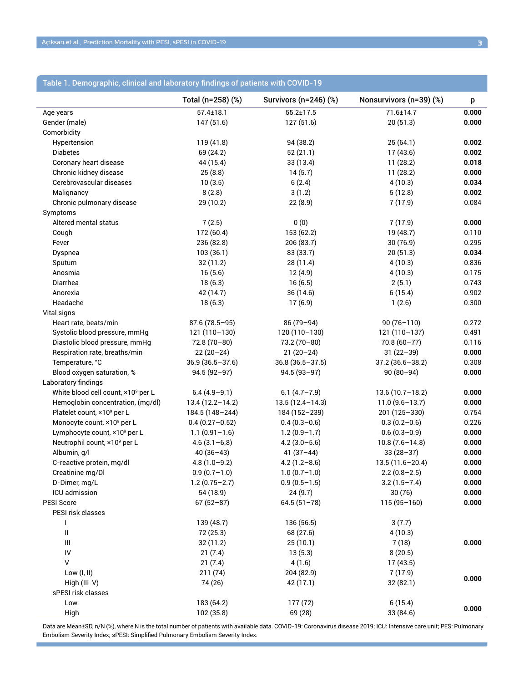|                                          | Total (n=258) (%)   | Survivors (n=246) (%) | Nonsurvivors (n=39) (%) | p     |
|------------------------------------------|---------------------|-----------------------|-------------------------|-------|
| Age years                                | $57.4 \pm 18.1$     | $55.2 \pm 17.5$       | 71.6±14.7               | 0.000 |
| Gender (male)                            | 147 (51.6)          | 127 (51.6)            | 20(51.3)                | 0.000 |
| Comorbidity                              |                     |                       |                         |       |
| Hypertension                             | 119 (41.8)          | 94 (38.2)             | 25(64.1)                | 0.002 |
| <b>Diabetes</b>                          | 69 (24.2)           | 52(21.1)              | 17(43.6)                | 0.002 |
| Coronary heart disease                   | 44 (15.4)           | 33 (13.4)             | 11(28.2)                | 0.018 |
| Chronic kidney disease                   | 25(8.8)             | 14(5.7)               | 11(28.2)                | 0.000 |
| Cerebrovascular diseases                 | 10(3.5)             | 6(2.4)                | 4(10.3)                 | 0.034 |
| Malignancy                               | 8(2.8)              | 3(1.2)                | 5(12.8)                 | 0.002 |
| Chronic pulmonary disease                | 29 (10.2)           | 22(8.9)               | 7(17.9)                 | 0.084 |
| Symptoms                                 |                     |                       |                         |       |
| Altered mental status                    | 7(2.5)              | 0(0)                  | 7(17.9)                 | 0.000 |
| Cough                                    | 172 (60.4)          | 153 (62.2)            | 19 (48.7)               | 0.110 |
| Fever                                    | 236 (82.8)          | 206 (83.7)            | 30(76.9)                | 0.295 |
| Dyspnea                                  | 103(36.1)           | 83 (33.7)             | 20(51.3)                | 0.034 |
| Sputum                                   | 32 (11.2)           | 28 (11.4)             | 4(10.3)                 | 0.836 |
| Anosmia                                  | 16(5.6)             | 12(4.9)               | 4(10.3)                 | 0.175 |
| Diarrhea                                 | 18(6.3)             | 16(6.5)               | 2(5.1)                  | 0.743 |
| Anorexia                                 | 42 (14.7)           | 36 (14.6)             | 6(15.4)                 | 0.902 |
| Headache                                 | 18(6.3)             | 17(6.9)               | 1(2.6)                  | 0.300 |
| Vital signs                              |                     |                       |                         |       |
| Heart rate, beats/min                    | $87.6(78.5 - 95)$   | 86 (79-94)            | $90(76 - 110)$          | 0.272 |
| Systolic blood pressure, mmHg            | $121(110-130)$      | $120(110-130)$        | $121(110-137)$          | 0.491 |
| Diastolic blood pressure, mmHg           | $72.8(70-80)$       | $73.2(70-80)$         | $70.8(60 - 77)$         | 0.116 |
| Respiration rate, breaths/min            | $22(20-24)$         | $21(20-24)$           | $31(22-39)$             | 0.000 |
| Temperature, °C                          | $36.9(36.5 - 37.6)$ | $36.8(36.5 - 37.5)$   | $37.2(36.6 - 38.2)$     | 0.308 |
| Blood oxygen saturation, %               | $94.5(92 - 97)$     | $94.5(93 - 97)$       | $90(80-94)$             | 0.000 |
| Laboratory findings                      |                     |                       |                         |       |
| White blood cell count, ×109 per L       | $6.4(4.9-9.1)$      | $6.1(4.7 - 7.9)$      | $13.6(10.7 - 18.2)$     | 0.000 |
| Hemoglobin concentration, (mg/dl)        | $13.4(12.2 - 14.2)$ | $13.5(12.4 - 14.3)$   | $11.0(9.6 - 13.7)$      | 0.000 |
| Platelet count, ×10 <sup>9</sup> per L   | 184.5 (148-244)     | 184 (152-239)         | 201 (125-330)           | 0.754 |
| Monocyte count, ×10 <sup>9</sup> per L   | $0.4(0.27 - 0.52)$  | $0.4(0.3-0.6)$        | $0.3(0.2-0.6)$          | 0.226 |
| Lymphocyte count, ×10 <sup>9</sup> per L | $1.1(0.91-1.6)$     | $1.2(0.9-1.7)$        | $0.6(0.3-0.9)$          | 0.000 |
| Neutrophil count, ×10 <sup>9</sup> per L | $4.6(3.1-6.8)$      | $4.2(3.0-5.6)$        | $10.8(7.6 - 14.8)$      | 0.000 |
| Albumin, g/l                             | $40(36-43)$         | $41(37-44)$           | $33(28-37)$             | 0.000 |
| C-reactive protein, mg/dl                | $4.8(1.0-9.2)$      | $4.2(1.2 - 8.6)$      | $13.5(11.6 - 20.4)$     | 0.000 |
| Creatinine mg/Dl                         | $0.9(0.7-1.0)$      | $1.0(0.7-1.0)$        | $2.2(0.8-2.5)$          | 0.000 |
| D-Dimer, mg/L                            | $1.2(0.75 - 2.7)$   | $0.9(0.5 - 1.5)$      | $3.2(1.5 - 7.4)$        | 0.000 |
| ICU admission                            | 54 (18.9)           | 24(9.7)               | 30(76)                  | 0.000 |
| PESI Score                               | $67(52-87)$         | $64.5(51-78)$         | $115(95 - 160)$         | 0.000 |
| PESI risk classes                        |                     |                       |                         |       |
| ı                                        | 139 (48.7)          | 136 (56.5)            | 3(7.7)                  |       |
| Ш                                        | 72 (25.3)           | 68 (27.6)             | 4(10.3)                 |       |
| Ш                                        | 32 (11.2)           | 25(10.1)              | 7(18)                   | 0.000 |
| $\mathsf{IV}$                            | 21(7.4)             | 13(5.3)               | 8(20.5)                 |       |
| $\vee$                                   | 21(7.4)             | 4(1.6)                | 17(43.5)                |       |
| Low (I, II)                              | 211(74)             | 204 (82.9)            | 7(17.9)                 |       |
| High $(III-V)$                           | 74 (26)             | 42 (17.1)             | 32 (82.1)               | 0.000 |
| sPESI risk classes                       |                     |                       |                         |       |
| Low                                      | 183 (64.2)          | 177 (72)              | 6(15.4)                 |       |
| High                                     | 102 (35.8)          | 69 (28)               | 33 (84.6)               | 0.000 |

# Table 1. Demographic, clinical and laboratory findings of patients with COVID-19

Data are Mean±SD, n/N (%), where N is the total number of patients with available data. COVID-19: Coronavirus disease 2019; ICU: Intensive care unit; PES: Pulmonary Embolism Severity Index; sPESI: Simplified Pulmonary Embolism Severity Index.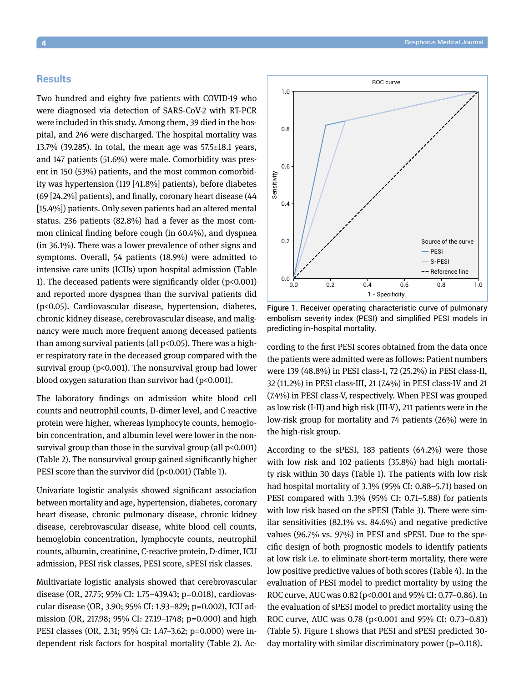#### **Results**

Two hundred and eighty five patients with COVID-19 who were diagnosed via detection of SARS-CoV-2 with RT-PCR were included in this study. Among them, 39 died in the hospital, and 246 were discharged. The hospital mortality was 13.7% (39.285). In total, the mean age was 57.5±18.1 years, and 147 patients (51.6%) were male. Comorbidity was present in 150 (53%) patients, and the most common comorbidity was hypertension (119 [41.8%] patients), before diabetes (69 [24.2%] patients), and finally, coronary heart disease (44 [15.4%]) patients. Only seven patients had an altered mental status. 236 patients (82.8%) had a fever as the most common clinical finding before cough (in 60.4%), and dyspnea (in 36.1%). There was a lower prevalence of other signs and symptoms. Overall, 54 patients (18.9%) were admitted to intensive care units (ICUs) upon hospital admission (Table 1). The deceased patients were significantly older  $(p<0.001)$ and reported more dyspnea than the survival patients did (p<0.05). Cardiovascular disease, hypertension, diabetes, chronic kidney disease, cerebrovascular disease, and malignancy were much more frequent among deceased patients than among survival patients (all  $p<0.05$ ). There was a higher respiratory rate in the deceased group compared with the survival group (p<0.001). The nonsurvival group had lower blood oxygen saturation than survivor had  $(p<0.001)$ .

The laboratory findings on admission white blood cell counts and neutrophil counts, D-dimer level, and C-reactive protein were higher, whereas lymphocyte counts, hemoglobin concentration, and albumin level were lower in the nonsurvival group than those in the survival group (all p<0.001) (Table 2). The nonsurvival group gained significantly higher PESI score than the survivor did (p<0.001) (Table 1).

Univariate logistic analysis showed significant association between mortality and age, hypertension, diabetes, coronary heart disease, chronic pulmonary disease, chronic kidney disease, cerebrovascular disease, white blood cell counts, hemoglobin concentration, lymphocyte counts, neutrophil counts, albumin, creatinine, C-reactive protein, D-dimer, ICU admission, PESI risk classes, PESI score, sPESI risk classes.

Multivariate logistic analysis showed that cerebrovascular disease (OR, 27.75; 95% CI: 1.75−439.43; p=0.018), cardiovascular disease (OR, 3.90; 95% CI: 1.93−829; p=0.002), ICU admission (OR, 217.98; 95% CI: 27.19−1748; p=0.000) and high PESI classes (OR, 2.31; 95% CI: 1.47−3.62; p=0.000) were independent risk factors for hospital mortality (Table 2). Ac-



Figure 1. Receiver operating characteristic curve of pulmonary embolism severity index (PESI) and simplified PESI models in predicting in-hospital mortality.

cording to the first PESI scores obtained from the data once the patients were admitted were as follows: Patient numbers were 139 (48.8%) in PESI class-I, 72 (25.2%) in PESI class-II, 32 (11.2%) in PESI class-III, 21 (7.4%) in PESI class-IV and 21 (7.4%) in PESI class-V, respectively. When PESI was grouped as low risk (I-II) and high risk (III-V), 211 patients were in the low-risk group for mortality and 74 patients (26%) were in the high-risk group.

According to the sPESI, 183 patients (64.2%) were those with low risk and 102 patients (35.8%) had high mortality risk within 30 days (Table 1). The patients with low risk had hospital mortality of 3.3% (95% CI: 0.88–5.71) based on PESI compared with 3.3% (95% CI: 0.71–5.88) for patients with low risk based on the sPESI (Table 3). There were similar sensitivities (82.1% vs. 84.6%) and negative predictive values (96.7% vs. 97%) in PESI and sPESI. Due to the specific design of both prognostic models to identify patients at low risk i.e. to eliminate short-term mortality, there were low positive predictive values of both scores (Table 4). In the evaluation of PESI model to predict mortality by using the ROC curve, AUC was 0.82 (p<0.001 and 95% CI: 0.77−0.86). In the evaluation of sPESI model to predict mortality using the ROC curve, AUC was 0.78 (p<0.001 and 95% CI: 0.73–0.83) (Table 5). Figure 1 shows that PESI and sPESI predicted 30 day mortality with similar discriminatory power (p=0.118).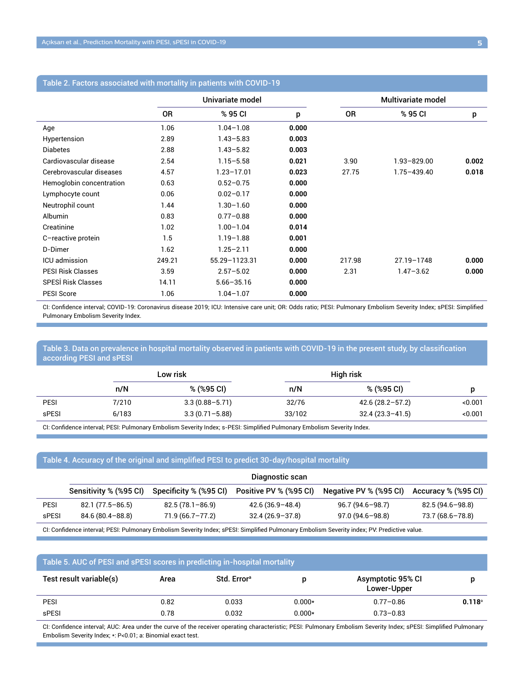|                           |        | Univariate model |       |        | Multivariate model |       |  |
|---------------------------|--------|------------------|-------|--------|--------------------|-------|--|
|                           | 0R     | % 95 CI          | p     | 0R     | % 95 CI            | p     |  |
| Age                       | 1.06   | $1.04 - 1.08$    | 0.000 |        |                    |       |  |
| Hypertension              | 2.89   | $1.43 - 5.83$    | 0.003 |        |                    |       |  |
| <b>Diabetes</b>           | 2.88   | $1.43 - 5.82$    | 0.003 |        |                    |       |  |
| Cardiovascular disease    | 2.54   | $1.15 - 5.58$    | 0.021 | 3.90   | $1.93 - 829.00$    | 0.002 |  |
| Cerebrovascular diseases  | 4.57   | $1.23 - 17.01$   | 0.023 | 27.75  | $1.75 - 439.40$    | 0.018 |  |
| Hemoglobin concentration  | 0.63   | $0.52 - 0.75$    | 0.000 |        |                    |       |  |
| Lymphocyte count          | 0.06   | $0.02 - 0.17$    | 0.000 |        |                    |       |  |
| Neutrophil count          | 1.44   | $1.30 - 1.60$    | 0.000 |        |                    |       |  |
| <b>Albumin</b>            | 0.83   | $0.77 - 0.88$    | 0.000 |        |                    |       |  |
| Creatinine                | 1.02   | $1.00 - 1.04$    | 0.014 |        |                    |       |  |
| C-reactive protein        | 1.5    | $1.19 - 1.88$    | 0.001 |        |                    |       |  |
| D-Dimer                   | 1.62   | $1.25 - 2.11$    | 0.000 |        |                    |       |  |
| ICU admission             | 249.21 | 55.29-1123.31    | 0.000 | 217.98 | 27.19-1748         | 0.000 |  |
| <b>PESI Risk Classes</b>  | 3.59   | $2.57 - 5.02$    | 0.000 | 2.31   | $1.47 - 3.62$      | 0.000 |  |
| <b>SPESI Risk Classes</b> | 14.11  | $5.66 - 35.16$   | 0.000 |        |                    |       |  |
| <b>PESI Score</b>         | 1.06   | $1.04 - 1.07$    | 0.000 |        |                    |       |  |

### Table 2. Factors associated with mortality in patients with COVID-19

CI: Confidence interval; COVID-19: Coronavirus disease 2019; ICU: Intensive care unit; OR: Odds ratio; PESI: Pulmonary Embolism Severity Index; sPESI: Simplified Pulmonary Embolism Severity Index.

### Table 3. Data on prevalence in hospital mortality observed in patients with COVID-19 in the present study, by classification according PESI and sPESI

| Low risk |                    |        |                     |           |
|----------|--------------------|--------|---------------------|-----------|
| n/N      | $\%$ (%95 CI)      | n/N    | % (%95 CI)          |           |
| 7/210    | $3.3(0.88 - 5.71)$ | 32/76  | $42.6(28.2 - 57.2)$ | < 0.001   |
| 6/183    | $3.3(0.71 - 5.88)$ | 33/102 | $32.4(23.3 - 41.5)$ | < 0.001   |
|          |                    |        |                     | High risk |

CI: Confidence interval; PESI: Pulmonary Embolism Severity Index; s-PESI: Simplified Pulmonary Embolism Severity Index.

### Table 4. Accuracy of the original and simplified PESI to predict 30-day/hospital mortality

|             | Diagnostic scan               |                        |                               |                        |                     |  |
|-------------|-------------------------------|------------------------|-------------------------------|------------------------|---------------------|--|
|             | <b>Sensitivity % (%95 CI)</b> | Specificity % (%95 CI) | <b>Positive PV % (%95 CI)</b> | Negative PV % (%95 CI) | Accuracy % (%95 CI) |  |
| <b>PESI</b> | 82.1 (77.5-86.5)              | $82.5(78.1 - 86.9)$    | $42.6(36.9 - 48.4)$           | 96.7 (94.6-98.7)       | 82.5 (94.6-98.8)    |  |
| sPESI       | $84.6(80.4 - 88.8)$           | $71.9(66.7 - 77.2)$    | $32.4(26.9-37.8)$             | $97.0(94.6 - 98.8)$    | 73.7 (68.6-78.8)    |  |
|             |                               |                        |                               |                        |                     |  |

CI: Confidence interval; PESI: Pulmonary Embolism Severity Index; sPESI: Simplified Pulmonary Embolism Severity index; PV: Predictive value.

| Table 5. AUC of PESI and sPESI scores in predicting in-hospital mortality |      |                         |          |                                  |                 |  |
|---------------------------------------------------------------------------|------|-------------------------|----------|----------------------------------|-----------------|--|
| Test result variable(s)                                                   | Area | Std. Error <sup>a</sup> | D        | Asymptotic 95% CI<br>Lower-Upper | D               |  |
| <b>PESI</b>                                                               | 0.82 | 0.033                   | $0.000*$ | $0.77 - 0.86$                    | $0.118^{\circ}$ |  |
| sPESI                                                                     | 0.78 | 0.032                   | $0.000*$ | $0.73 - 0.83$                    |                 |  |

CI: Confidence interval; AUC: Area under the curve of the receiver operating characteristic; PESI: Pulmonary Embolism Severity Index; sPESI: Simplified Pulmonary Embolism Severity Index; \*: P<0.01; a: Binomial exact test.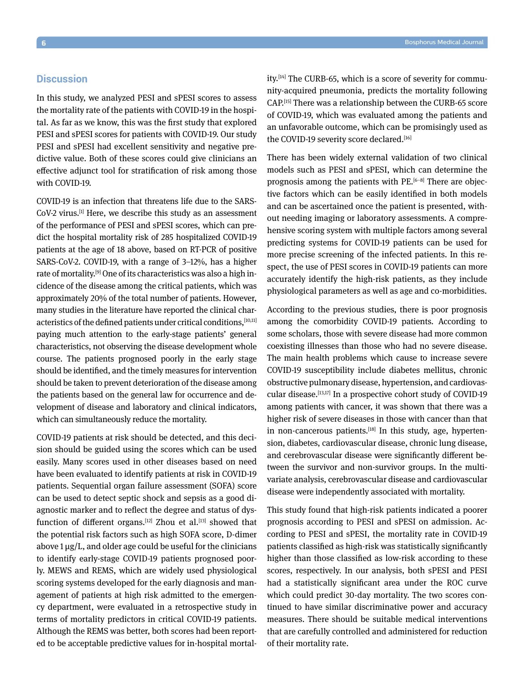## **Discussion**

In this study, we analyzed PESI and sPESI scores to assess the mortality rate of the patients with COVID-19 in the hospital. As far as we know, this was the first study that explored PESI and sPESI scores for patients with COVID-19. Our study PESI and sPESI had excellent sensitivity and negative predictive value. Both of these scores could give clinicians an effective adjunct tool for stratification of risk among those with COVID-19.

COVID-19 is an infection that threatens life due to the SARS-CoV-2 virus.[1] Here, we describe this study as an assessment of the performance of PESI and sPESI scores, which can predict the hospital mortality risk of 285 hospitalized COVID-19 patients at the age of 18 above, based on RT-PCR of positive SARS-CoV-2. COVID-19, with a range of 3–12%, has a higher rate of mortality.<sup>[9]</sup> One of its characteristics was also a high incidence of the disease among the critical patients, which was approximately 20% of the total number of patients. However, many studies in the literature have reported the clinical characteristics of the defined patients under critical conditions, [10,11] paying much attention to the early-stage patients' general characteristics, not observing the disease development whole course. The patients prognosed poorly in the early stage should be identified, and the timely measures for intervention should be taken to prevent deterioration of the disease among the patients based on the general law for occurrence and development of disease and laboratory and clinical indicators, which can simultaneously reduce the mortality.

COVID-19 patients at risk should be detected, and this decision should be guided using the scores which can be used easily. Many scores used in other diseases based on need have been evaluated to identify patients at risk in COVID-19 patients. Sequential organ failure assessment (SOFA) score can be used to detect septic shock and sepsis as a good diagnostic marker and to reflect the degree and status of dysfunction of different organs.<sup>[12]</sup> Zhou et al.<sup>[13]</sup> showed that the potential risk factors such as high SOFA score, D-dimer above 1 μg/L, and older age could be useful for the clinicians to identify early-stage COVID-19 patients prognosed poorly. MEWS and REMS, which are widely used physiological scoring systems developed for the early diagnosis and management of patients at high risk admitted to the emergency department, were evaluated in a retrospective study in terms of mortality predictors in critical COVID-19 patients. Although the REMS was better, both scores had been reported to be acceptable predictive values for in-hospital mortality.[14] The CURB-65, which is a score of severity for community-acquired pneumonia, predicts the mortality following CAP.[15] There was a relationship between the CURB-65 score of COVID-19, which was evaluated among the patients and an unfavorable outcome, which can be promisingly used as the COVID-19 severity score declared.<sup>[16]</sup>

There has been widely external validation of two clinical models such as PESI and sPESI, which can determine the prognosis among the patients with  $PE.^{[6-8]}$  There are objective factors which can be easily identified in both models and can be ascertained once the patient is presented, without needing imaging or laboratory assessments. A comprehensive scoring system with multiple factors among several predicting systems for COVID-19 patients can be used for more precise screening of the infected patients. In this respect, the use of PESI scores in COVID-19 patients can more accurately identify the high-risk patients, as they include physiological parameters as well as age and co-morbidities.

According to the previous studies, there is poor prognosis among the comorbidity COVID-19 patients. According to some scholars, those with severe disease had more common coexisting illnesses than those who had no severe disease. The main health problems which cause to increase severe COVID-19 susceptibility include diabetes mellitus, chronic obstructive pulmonary disease, hypertension, and cardiovascular disease.[13,17] In a prospective cohort study of COVID-19 among patients with cancer, it was shown that there was a higher risk of severe diseases in those with cancer than that in non-cancerous patients.<sup>[18]</sup> In this study, age, hypertension, diabetes, cardiovascular disease, chronic lung disease, and cerebrovascular disease were significantly different between the survivor and non-survivor groups. In the multivariate analysis, cerebrovascular disease and cardiovascular disease were independently associated with mortality.

This study found that high-risk patients indicated a poorer prognosis according to PESI and sPESI on admission. According to PESI and sPESI, the mortality rate in COVID-19 patients classified as high-risk was statistically significantly higher than those classified as low-risk according to these scores, respectively. In our analysis, both sPESI and PESI had a statistically significant area under the ROC curve which could predict 30-day mortality. The two scores continued to have similar discriminative power and accuracy measures. There should be suitable medical interventions that are carefully controlled and administered for reduction of their mortality rate.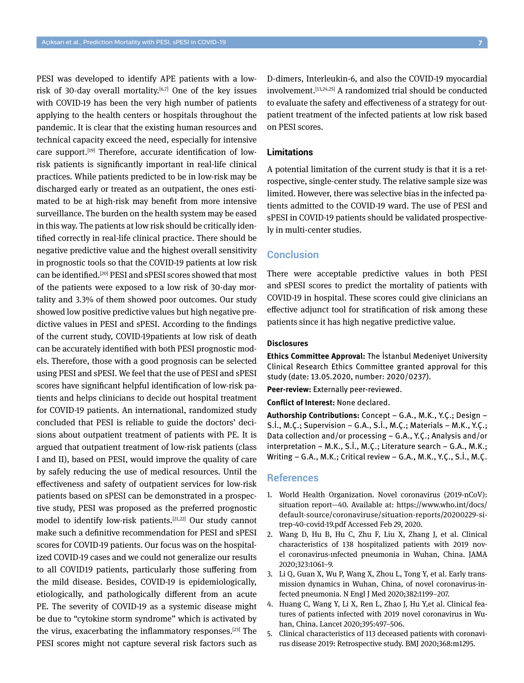PESI was developed to identify APE patients with a lowrisk of 30-day overall mortality.<sup>[6,7]</sup> One of the key issues with COVID-19 has been the very high number of patients applying to the health centers or hospitals throughout the pandemic. It is clear that the existing human resources and technical capacity exceed the need, especially for intensive care support.<sup>[19]</sup> Therefore, accurate identification of lowrisk patients is significantly important in real-life clinical practices. While patients predicted to be in low-risk may be discharged early or treated as an outpatient, the ones estimated to be at high-risk may benefit from more intensive surveillance. The burden on the health system may be eased in this way. The patients at low risk should be critically identified correctly in real-life clinical practice. There should be negative predictive value and the highest overall sensitivity in prognostic tools so that the COVID-19 patients at low risk can be identified.<sup>[20]</sup> PESI and sPESI scores showed that most of the patients were exposed to a low risk of 30-day mortality and 3.3% of them showed poor outcomes. Our study showed low positive predictive values but high negative predictive values in PESI and sPESI. According to the findings of the current study, COVID-19patients at low risk of death can be accurately identified with both PESI prognostic models. Therefore, those with a good prognosis can be selected using PESI and sPESI. We feel that the use of PESI and sPESI scores have significant helpful identification of low-risk patients and helps clinicians to decide out hospital treatment for COVID-19 patients. An international, randomized study concluded that PESI is reliable to guide the doctors' decisions about outpatient treatment of patients with PE. It is argued that outpatient treatment of low-risk patients (class I and II), based on PESI, would improve the quality of care by safely reducing the use of medical resources. Until the effectiveness and safety of outpatient services for low-risk patients based on sPESI can be demonstrated in a prospective study, PESI was proposed as the preferred prognostic model to identify low-risk patients.[21,22] Our study cannot make such a definitive recommendation for PESI and sPESI scores for COVID-19 patients. Our focus was on the hospitalized COVID-19 cases and we could not generalize our results to all COVID19 patients, particularly those suffering from the mild disease. Besides, COVID-19 is epidemiologically, etiologically, and pathologically different from an acute PE. The severity of COVID-19 as a systemic disease might be due to "cytokine storm syndrome" which is activated by the virus, exacerbating the inflammatory responses.[23] The PESI scores might not capture several risk factors such as D-dimers, Interleukin-6, and also the COVID-19 myocardial involvement.[13,24,25] A randomized trial should be conducted to evaluate the safety and effectiveness of a strategy for outpatient treatment of the infected patients at low risk based on PESI scores.

#### **Limitations**

A potential limitation of the current study is that it is a retrospective, single-center study. The relative sample size was limited. However, there was selective bias in the infected patients admitted to the COVID-19 ward. The use of PESI and sPESI in COVID-19 patients should be validated prospectively in multi-center studies.

# **Conclusion**

There were acceptable predictive values in both PESI and sPESI scores to predict the mortality of patients with COVID-19 in hospital. These scores could give clinicians an effective adjunct tool for stratification of risk among these patients since it has high negative predictive value.

#### **Disclosures**

**Ethics Committee Approval:** The İstanbul Medeniyet University Clinical Research Ethics Committee granted approval for this study (date: 13.05.2020, number: 2020/0237).

**Peer-review:** Externally peer-reviewed.

**Conflict of Interest:** None declared.

**Authorship Contributions:** Concept – G.A., M.K., Y.Ç.; Design – S.İ., M.Ç.; Supervision – G.A., S.İ., M.Ç.; Materials – M.K., Y.Ç.; Data collection and/or processing – G.A., Y.Ç.; Analysis and/or interpretation – M.K., S.İ., M.Ç.; Literature search – G.A., M.K.; Writing – G.A., M.K.; Critical review – G.A., M.K., Y.Ç., S.İ., M.Ç.

#### **References**

- 1. World Health Organization. Novel coronavirus (2019-nCoV): situation report—40. Available at: https://www.who.int/docs/ default-source/coronaviruse/situation-reports/20200229-sitrep-40-covid-19.pdf Accessed Feb 29, 2020.
- 2. Wang D, Hu B, Hu C, Zhu F, Liu X, Zhang J, et al. Clinical characteristics of 138 hospitalized patients with 2019 novel coronavirus-ınfected pneumonia in Wuhan, China. JAMA 2020;323:1061–9.
- 3. Li Q, Guan X, Wu P, Wang X, Zhou L, Tong Y, et al. Early transmission dynamics in Wuhan, China, of novel coronavirus-infected pneumonia. N Engl J Med 2020;382:1199–207.
- 4. Huang C, Wang Y, Li X, Ren L, Zhao J, Hu Y,et al. Clinical features of patients infected with 2019 novel coronavirus in Wuhan, China. Lancet 2020;395:497–506.
- 5. Clinical characteristics of 113 deceased patients with coronavirus disease 2019: Retrospective study. BMJ 2020;368:m1295.